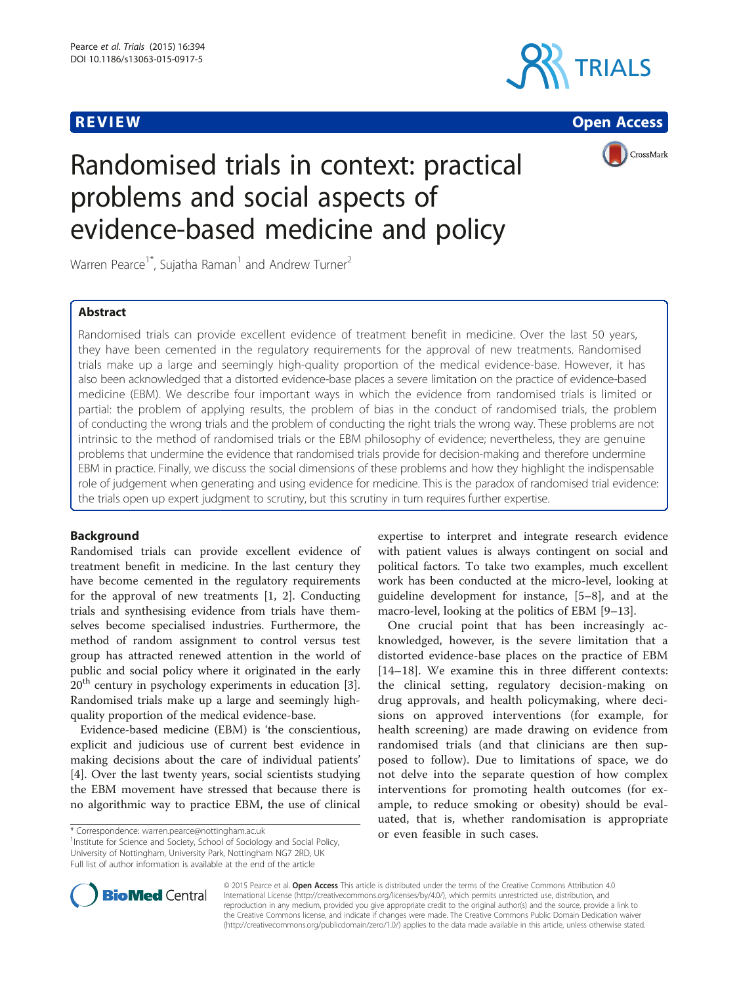





# Randomised trials in context: practical problems and social aspects of evidence-based medicine and policy

Warren Pearce<sup>1\*</sup>, Sujatha Raman<sup>1</sup> and Andrew Turner<sup>2</sup>

# Abstract

Randomised trials can provide excellent evidence of treatment benefit in medicine. Over the last 50 years, they have been cemented in the regulatory requirements for the approval of new treatments. Randomised trials make up a large and seemingly high-quality proportion of the medical evidence-base. However, it has also been acknowledged that a distorted evidence-base places a severe limitation on the practice of evidence-based medicine (EBM). We describe four important ways in which the evidence from randomised trials is limited or partial: the problem of applying results, the problem of bias in the conduct of randomised trials, the problem of conducting the wrong trials and the problem of conducting the right trials the wrong way. These problems are not intrinsic to the method of randomised trials or the EBM philosophy of evidence; nevertheless, they are genuine problems that undermine the evidence that randomised trials provide for decision-making and therefore undermine EBM in practice. Finally, we discuss the social dimensions of these problems and how they highlight the indispensable role of judgement when generating and using evidence for medicine. This is the paradox of randomised trial evidence: the trials open up expert judgment to scrutiny, but this scrutiny in turn requires further expertise.

# Background

Randomised trials can provide excellent evidence of treatment benefit in medicine. In the last century they have become cemented in the regulatory requirements for the approval of new treatments [[1, 2\]](#page-5-0). Conducting trials and synthesising evidence from trials have themselves become specialised industries. Furthermore, the method of random assignment to control versus test group has attracted renewed attention in the world of public and social policy where it originated in the early  $20<sup>th</sup>$  century in psychology experiments in education [\[3](#page-5-0)]. Randomised trials make up a large and seemingly highquality proportion of the medical evidence-base.

Evidence-based medicine (EBM) is 'the conscientious, explicit and judicious use of current best evidence in making decisions about the care of individual patients' [[4\]](#page-5-0). Over the last twenty years, social scientists studying the EBM movement have stressed that because there is no algorithmic way to practice EBM, the use of clinical

<sup>1</sup>Institute for Science and Society, School of Sociology and Social Policy, University of Nottingham, University Park, Nottingham NG7 2RD, UK Full list of author information is available at the end of the article

expertise to interpret and integrate research evidence with patient values is always contingent on social and political factors. To take two examples, much excellent work has been conducted at the micro-level, looking at guideline development for instance, [\[5](#page-5-0)–[8\]](#page-5-0), and at the macro-level, looking at the politics of EBM [\[9](#page-5-0)–[13\]](#page-5-0).

One crucial point that has been increasingly acknowledged, however, is the severe limitation that a distorted evidence-base places on the practice of EBM [[14](#page-5-0)–[18\]](#page-5-0). We examine this in three different contexts: the clinical setting, regulatory decision-making on drug approvals, and health policymaking, where decisions on approved interventions (for example, for health screening) are made drawing on evidence from randomised trials (and that clinicians are then supposed to follow). Due to limitations of space, we do not delve into the separate question of how complex interventions for promoting health outcomes (for example, to reduce smoking or obesity) should be evaluated, that is, whether randomisation is appropriate or even feasible in such cases. \* Correspondence: [warren.pearce@nottingham.ac.uk](mailto:warren.pearce@nottingham.ac.uk) <sup>1</sup>



© 2015 Pearce et al. Open Access This article is distributed under the terms of the Creative Commons Attribution 4.0 International License [\(http://creativecommons.org/licenses/by/4.0/](http://creativecommons.org/licenses/by/4.0/)), which permits unrestricted use, distribution, and reproduction in any medium, provided you give appropriate credit to the original author(s) and the source, provide a link to the Creative Commons license, and indicate if changes were made. The Creative Commons Public Domain Dedication waiver [\(http://creativecommons.org/publicdomain/zero/1.0/](http://creativecommons.org/publicdomain/zero/1.0/)) applies to the data made available in this article, unless otherwise stated.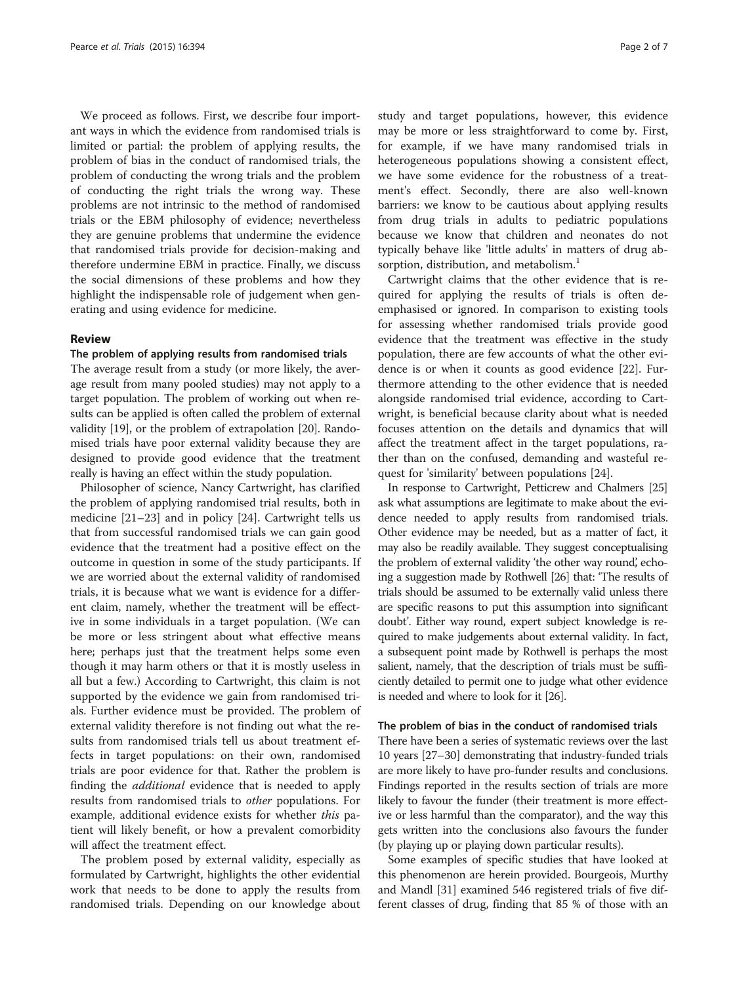We proceed as follows. First, we describe four important ways in which the evidence from randomised trials is limited or partial: the problem of applying results, the problem of bias in the conduct of randomised trials, the problem of conducting the wrong trials and the problem of conducting the right trials the wrong way. These problems are not intrinsic to the method of randomised trials or the EBM philosophy of evidence; nevertheless they are genuine problems that undermine the evidence that randomised trials provide for decision-making and therefore undermine EBM in practice. Finally, we discuss the social dimensions of these problems and how they highlight the indispensable role of judgement when generating and using evidence for medicine.

# Review

# The problem of applying results from randomised trials

The average result from a study (or more likely, the average result from many pooled studies) may not apply to a target population. The problem of working out when results can be applied is often called the problem of external validity [[19](#page-5-0)], or the problem of extrapolation [\[20\]](#page-5-0). Randomised trials have poor external validity because they are designed to provide good evidence that the treatment really is having an effect within the study population.

Philosopher of science, Nancy Cartwright, has clarified the problem of applying randomised trial results, both in medicine [[21](#page-5-0)–[23](#page-5-0)] and in policy [[24](#page-5-0)]. Cartwright tells us that from successful randomised trials we can gain good evidence that the treatment had a positive effect on the outcome in question in some of the study participants. If we are worried about the external validity of randomised trials, it is because what we want is evidence for a different claim, namely, whether the treatment will be effective in some individuals in a target population. (We can be more or less stringent about what effective means here; perhaps just that the treatment helps some even though it may harm others or that it is mostly useless in all but a few.) According to Cartwright, this claim is not supported by the evidence we gain from randomised trials. Further evidence must be provided. The problem of external validity therefore is not finding out what the results from randomised trials tell us about treatment effects in target populations: on their own, randomised trials are poor evidence for that. Rather the problem is finding the *additional* evidence that is needed to apply results from randomised trials to other populations. For example, additional evidence exists for whether this patient will likely benefit, or how a prevalent comorbidity will affect the treatment effect.

The problem posed by external validity, especially as formulated by Cartwright, highlights the other evidential work that needs to be done to apply the results from randomised trials. Depending on our knowledge about

study and target populations, however, this evidence may be more or less straightforward to come by. First, for example, if we have many randomised trials in heterogeneous populations showing a consistent effect, we have some evidence for the robustness of a treatment's effect. Secondly, there are also well-known barriers: we know to be cautious about applying results from drug trials in adults to pediatric populations because we know that children and neonates do not typically behave like 'little adults' in matters of drug absorption, distribution, and metabolism.<sup>1</sup>

Cartwright claims that the other evidence that is required for applying the results of trials is often deemphasised or ignored. In comparison to existing tools for assessing whether randomised trials provide good evidence that the treatment was effective in the study population, there are few accounts of what the other evidence is or when it counts as good evidence [[22\]](#page-5-0). Furthermore attending to the other evidence that is needed alongside randomised trial evidence, according to Cartwright, is beneficial because clarity about what is needed focuses attention on the details and dynamics that will affect the treatment affect in the target populations, rather than on the confused, demanding and wasteful request for 'similarity' between populations [\[24\]](#page-5-0).

In response to Cartwright, Petticrew and Chalmers [\[25](#page-5-0)] ask what assumptions are legitimate to make about the evidence needed to apply results from randomised trials. Other evidence may be needed, but as a matter of fact, it may also be readily available. They suggest conceptualising the problem of external validity 'the other way round', echoing a suggestion made by Rothwell [\[26](#page-5-0)] that: 'The results of trials should be assumed to be externally valid unless there are specific reasons to put this assumption into significant doubt'. Either way round, expert subject knowledge is required to make judgements about external validity. In fact, a subsequent point made by Rothwell is perhaps the most salient, namely, that the description of trials must be sufficiently detailed to permit one to judge what other evidence is needed and where to look for it [\[26\]](#page-5-0).

# The problem of bias in the conduct of randomised trials

There have been a series of systematic reviews over the last 10 years [\[27](#page-5-0)–[30](#page-6-0)] demonstrating that industry-funded trials are more likely to have pro-funder results and conclusions. Findings reported in the results section of trials are more likely to favour the funder (their treatment is more effective or less harmful than the comparator), and the way this gets written into the conclusions also favours the funder (by playing up or playing down particular results).

Some examples of specific studies that have looked at this phenomenon are herein provided. Bourgeois, Murthy and Mandl [\[31\]](#page-6-0) examined 546 registered trials of five different classes of drug, finding that 85 % of those with an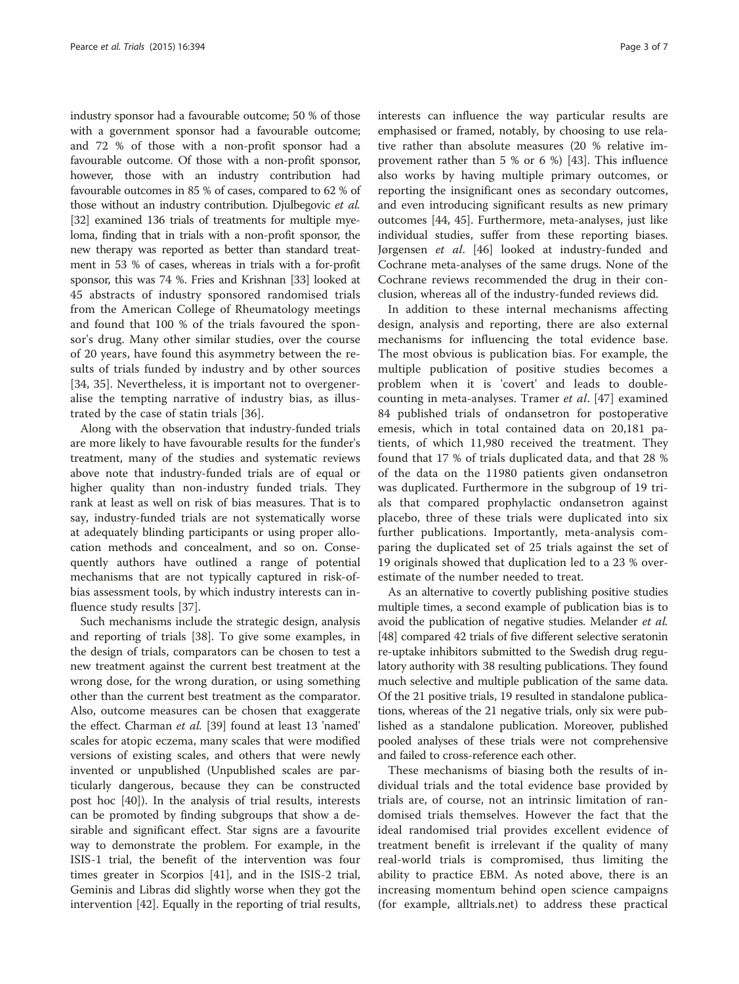industry sponsor had a favourable outcome; 50 % of those with a government sponsor had a favourable outcome; and 72 % of those with a non-profit sponsor had a favourable outcome. Of those with a non-profit sponsor, however, those with an industry contribution had favourable outcomes in 85 % of cases, compared to 62 % of those without an industry contribution. Djulbegovic et al. [[32](#page-6-0)] examined 136 trials of treatments for multiple myeloma, finding that in trials with a non-profit sponsor, the new therapy was reported as better than standard treatment in 53 % of cases, whereas in trials with a for-profit sponsor, this was 74 %. Fries and Krishnan [\[33\]](#page-6-0) looked at 45 abstracts of industry sponsored randomised trials from the American College of Rheumatology meetings and found that 100 % of the trials favoured the sponsor's drug. Many other similar studies, over the course of 20 years, have found this asymmetry between the results of trials funded by industry and by other sources [[34, 35](#page-6-0)]. Nevertheless, it is important not to overgeneralise the tempting narrative of industry bias, as illustrated by the case of statin trials [\[36](#page-6-0)].

Along with the observation that industry-funded trials are more likely to have favourable results for the funder's treatment, many of the studies and systematic reviews above note that industry-funded trials are of equal or higher quality than non-industry funded trials. They rank at least as well on risk of bias measures. That is to say, industry-funded trials are not systematically worse at adequately blinding participants or using proper allocation methods and concealment, and so on. Consequently authors have outlined a range of potential mechanisms that are not typically captured in risk-ofbias assessment tools, by which industry interests can influence study results [[37\]](#page-6-0).

Such mechanisms include the strategic design, analysis and reporting of trials [\[38](#page-6-0)]. To give some examples, in the design of trials, comparators can be chosen to test a new treatment against the current best treatment at the wrong dose, for the wrong duration, or using something other than the current best treatment as the comparator. Also, outcome measures can be chosen that exaggerate the effect. Charman et al. [[39](#page-6-0)] found at least 13 'named' scales for atopic eczema, many scales that were modified versions of existing scales, and others that were newly invented or unpublished (Unpublished scales are particularly dangerous, because they can be constructed post hoc [[40\]](#page-6-0)). In the analysis of trial results, interests can be promoted by finding subgroups that show a desirable and significant effect. Star signs are a favourite way to demonstrate the problem. For example, in the ISIS-1 trial, the benefit of the intervention was four times greater in Scorpios [\[41\]](#page-6-0), and in the ISIS-2 trial, Geminis and Libras did slightly worse when they got the intervention [[42\]](#page-6-0). Equally in the reporting of trial results, interests can influence the way particular results are emphasised or framed, notably, by choosing to use relative rather than absolute measures (20 % relative improvement rather than 5 % or 6 %) [[43](#page-6-0)]. This influence also works by having multiple primary outcomes, or reporting the insignificant ones as secondary outcomes, and even introducing significant results as new primary outcomes [[44, 45](#page-6-0)]. Furthermore, meta-analyses, just like individual studies, suffer from these reporting biases. Jørgensen et al. [[46](#page-6-0)] looked at industry-funded and Cochrane meta-analyses of the same drugs. None of the Cochrane reviews recommended the drug in their conclusion, whereas all of the industry-funded reviews did.

In addition to these internal mechanisms affecting design, analysis and reporting, there are also external mechanisms for influencing the total evidence base. The most obvious is publication bias. For example, the multiple publication of positive studies becomes a problem when it is 'covert' and leads to doublecounting in meta-analyses. Tramer et al. [[47](#page-6-0)] examined 84 published trials of ondansetron for postoperative emesis, which in total contained data on 20,181 patients, of which 11,980 received the treatment. They found that 17 % of trials duplicated data, and that 28 % of the data on the 11980 patients given ondansetron was duplicated. Furthermore in the subgroup of 19 trials that compared prophylactic ondansetron against placebo, three of these trials were duplicated into six further publications. Importantly, meta-analysis comparing the duplicated set of 25 trials against the set of 19 originals showed that duplication led to a 23 % overestimate of the number needed to treat.

As an alternative to covertly publishing positive studies multiple times, a second example of publication bias is to avoid the publication of negative studies. Melander et al. [[48](#page-6-0)] compared 42 trials of five different selective seratonin re-uptake inhibitors submitted to the Swedish drug regulatory authority with 38 resulting publications. They found much selective and multiple publication of the same data. Of the 21 positive trials, 19 resulted in standalone publications, whereas of the 21 negative trials, only six were published as a standalone publication. Moreover, published pooled analyses of these trials were not comprehensive and failed to cross-reference each other.

These mechanisms of biasing both the results of individual trials and the total evidence base provided by trials are, of course, not an intrinsic limitation of randomised trials themselves. However the fact that the ideal randomised trial provides excellent evidence of treatment benefit is irrelevant if the quality of many real-world trials is compromised, thus limiting the ability to practice EBM. As noted above, there is an increasing momentum behind open science campaigns (for example, alltrials.net) to address these practical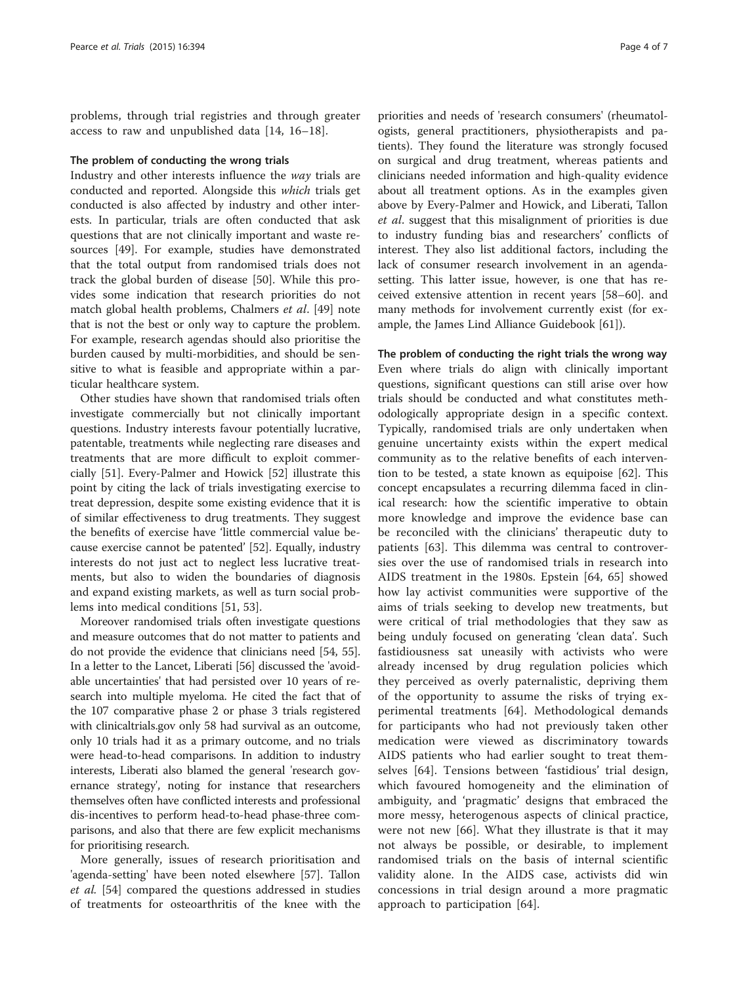problems, through trial registries and through greater access to raw and unpublished data [[14, 16](#page-5-0)–[18](#page-5-0)].

# The problem of conducting the wrong trials

Industry and other interests influence the way trials are conducted and reported. Alongside this which trials get conducted is also affected by industry and other interests. In particular, trials are often conducted that ask questions that are not clinically important and waste resources [[49\]](#page-6-0). For example, studies have demonstrated that the total output from randomised trials does not track the global burden of disease [[50](#page-6-0)]. While this provides some indication that research priorities do not match global health problems, Chalmers et al. [\[49\]](#page-6-0) note that is not the best or only way to capture the problem. For example, research agendas should also prioritise the burden caused by multi-morbidities, and should be sensitive to what is feasible and appropriate within a particular healthcare system.

Other studies have shown that randomised trials often investigate commercially but not clinically important questions. Industry interests favour potentially lucrative, patentable, treatments while neglecting rare diseases and treatments that are more difficult to exploit commercially [[51](#page-6-0)]. Every-Palmer and Howick [\[52](#page-6-0)] illustrate this point by citing the lack of trials investigating exercise to treat depression, despite some existing evidence that it is of similar effectiveness to drug treatments. They suggest the benefits of exercise have 'little commercial value because exercise cannot be patented' [[52\]](#page-6-0). Equally, industry interests do not just act to neglect less lucrative treatments, but also to widen the boundaries of diagnosis and expand existing markets, as well as turn social problems into medical conditions [\[51](#page-6-0), [53\]](#page-6-0).

Moreover randomised trials often investigate questions and measure outcomes that do not matter to patients and do not provide the evidence that clinicians need [[54](#page-6-0), [55](#page-6-0)]. In a letter to the Lancet, Liberati [\[56\]](#page-6-0) discussed the 'avoidable uncertainties' that had persisted over 10 years of research into multiple myeloma. He cited the fact that of the 107 comparative phase 2 or phase 3 trials registered with clinicaltrials.gov only 58 had survival as an outcome, only 10 trials had it as a primary outcome, and no trials were head-to-head comparisons. In addition to industry interests, Liberati also blamed the general 'research governance strategy', noting for instance that researchers themselves often have conflicted interests and professional dis-incentives to perform head-to-head phase-three comparisons, and also that there are few explicit mechanisms for prioritising research.

More generally, issues of research prioritisation and 'agenda-setting' have been noted elsewhere [\[57](#page-6-0)]. Tallon et al. [\[54](#page-6-0)] compared the questions addressed in studies of treatments for osteoarthritis of the knee with the

priorities and needs of 'research consumers' (rheumatologists, general practitioners, physiotherapists and patients). They found the literature was strongly focused on surgical and drug treatment, whereas patients and clinicians needed information and high-quality evidence about all treatment options. As in the examples given above by Every-Palmer and Howick, and Liberati, Tallon et al. suggest that this misalignment of priorities is due to industry funding bias and researchers' conflicts of interest. They also list additional factors, including the lack of consumer research involvement in an agendasetting. This latter issue, however, is one that has received extensive attention in recent years [\[58](#page-6-0)–[60\]](#page-6-0). and many methods for involvement currently exist (for example, the James Lind Alliance Guidebook [[61\]](#page-6-0)).

The problem of conducting the right trials the wrong way Even where trials do align with clinically important questions, significant questions can still arise over how trials should be conducted and what constitutes methodologically appropriate design in a specific context. Typically, randomised trials are only undertaken when genuine uncertainty exists within the expert medical community as to the relative benefits of each intervention to be tested, a state known as equipoise [\[62](#page-6-0)]. This concept encapsulates a recurring dilemma faced in clinical research: how the scientific imperative to obtain more knowledge and improve the evidence base can be reconciled with the clinicians' therapeutic duty to patients [\[63](#page-6-0)]. This dilemma was central to controversies over the use of randomised trials in research into AIDS treatment in the 1980s. Epstein [[64, 65](#page-6-0)] showed how lay activist communities were supportive of the aims of trials seeking to develop new treatments, but were critical of trial methodologies that they saw as being unduly focused on generating 'clean data'. Such fastidiousness sat uneasily with activists who were already incensed by drug regulation policies which they perceived as overly paternalistic, depriving them of the opportunity to assume the risks of trying experimental treatments [\[64](#page-6-0)]. Methodological demands for participants who had not previously taken other medication were viewed as discriminatory towards AIDS patients who had earlier sought to treat themselves [[64\]](#page-6-0). Tensions between 'fastidious' trial design, which favoured homogeneity and the elimination of ambiguity, and 'pragmatic' designs that embraced the more messy, heterogenous aspects of clinical practice, were not new [[66\]](#page-6-0). What they illustrate is that it may not always be possible, or desirable, to implement randomised trials on the basis of internal scientific validity alone. In the AIDS case, activists did win concessions in trial design around a more pragmatic approach to participation [[64\]](#page-6-0).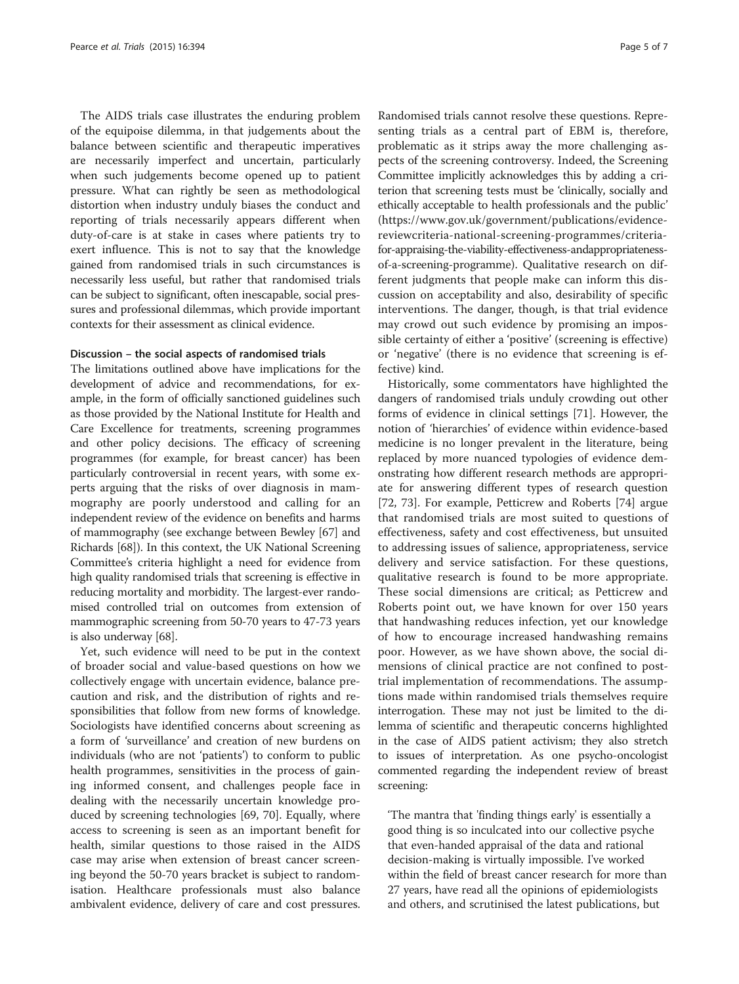The AIDS trials case illustrates the enduring problem of the equipoise dilemma, in that judgements about the balance between scientific and therapeutic imperatives are necessarily imperfect and uncertain, particularly when such judgements become opened up to patient pressure. What can rightly be seen as methodological distortion when industry unduly biases the conduct and reporting of trials necessarily appears different when duty-of-care is at stake in cases where patients try to exert influence. This is not to say that the knowledge gained from randomised trials in such circumstances is necessarily less useful, but rather that randomised trials can be subject to significant, often inescapable, social pressures and professional dilemmas, which provide important contexts for their assessment as clinical evidence.

# Discussion – the social aspects of randomised trials

The limitations outlined above have implications for the development of advice and recommendations, for example, in the form of officially sanctioned guidelines such as those provided by the National Institute for Health and Care Excellence for treatments, screening programmes and other policy decisions. The efficacy of screening programmes (for example, for breast cancer) has been particularly controversial in recent years, with some experts arguing that the risks of over diagnosis in mammography are poorly understood and calling for an independent review of the evidence on benefits and harms of mammography (see exchange between Bewley [\[67\]](#page-6-0) and Richards [\[68\]](#page-6-0)). In this context, the UK National Screening Committee's criteria highlight a need for evidence from high quality randomised trials that screening is effective in reducing mortality and morbidity. The largest-ever randomised controlled trial on outcomes from extension of mammographic screening from 50-70 years to 47-73 years is also underway [\[68\]](#page-6-0).

Yet, such evidence will need to be put in the context of broader social and value-based questions on how we collectively engage with uncertain evidence, balance precaution and risk, and the distribution of rights and responsibilities that follow from new forms of knowledge. Sociologists have identified concerns about screening as a form of 'surveillance' and creation of new burdens on individuals (who are not 'patients') to conform to public health programmes, sensitivities in the process of gaining informed consent, and challenges people face in dealing with the necessarily uncertain knowledge produced by screening technologies [[69, 70\]](#page-6-0). Equally, where access to screening is seen as an important benefit for health, similar questions to those raised in the AIDS case may arise when extension of breast cancer screening beyond the 50-70 years bracket is subject to randomisation. Healthcare professionals must also balance ambivalent evidence, delivery of care and cost pressures.

Randomised trials cannot resolve these questions. Representing trials as a central part of EBM is, therefore, problematic as it strips away the more challenging aspects of the screening controversy. Indeed, the Screening Committee implicitly acknowledges this by adding a criterion that screening tests must be 'clinically, socially and ethically acceptable to health professionals and the public' ([https://www.gov.uk/government/publications/evidence](https://www.gov.uk/government/publications/evidence-reviewcriteria-national-screening-programmes/criteria-for-appraising-the-viability-effectiveness-andappropriateness-of-a-screening-programme)[reviewcriteria-national-screening-programmes/criteria](https://www.gov.uk/government/publications/evidence-reviewcriteria-national-screening-programmes/criteria-for-appraising-the-viability-effectiveness-andappropriateness-of-a-screening-programme)[for-appraising-the-viability-effectiveness-andappropriateness](https://www.gov.uk/government/publications/evidence-reviewcriteria-national-screening-programmes/criteria-for-appraising-the-viability-effectiveness-andappropriateness-of-a-screening-programme)[of-a-screening-programme](https://www.gov.uk/government/publications/evidence-reviewcriteria-national-screening-programmes/criteria-for-appraising-the-viability-effectiveness-andappropriateness-of-a-screening-programme)). Qualitative research on different judgments that people make can inform this discussion on acceptability and also, desirability of specific interventions. The danger, though, is that trial evidence may crowd out such evidence by promising an impossible certainty of either a 'positive' (screening is effective) or 'negative' (there is no evidence that screening is effective) kind.

Historically, some commentators have highlighted the dangers of randomised trials unduly crowding out other forms of evidence in clinical settings [\[71\]](#page-6-0). However, the notion of 'hierarchies' of evidence within evidence-based medicine is no longer prevalent in the literature, being replaced by more nuanced typologies of evidence demonstrating how different research methods are appropriate for answering different types of research question [[72, 73](#page-6-0)]. For example, Petticrew and Roberts [\[74](#page-6-0)] argue that randomised trials are most suited to questions of effectiveness, safety and cost effectiveness, but unsuited to addressing issues of salience, appropriateness, service delivery and service satisfaction. For these questions, qualitative research is found to be more appropriate. These social dimensions are critical; as Petticrew and Roberts point out, we have known for over 150 years that handwashing reduces infection, yet our knowledge of how to encourage increased handwashing remains poor. However, as we have shown above, the social dimensions of clinical practice are not confined to posttrial implementation of recommendations. The assumptions made within randomised trials themselves require interrogation. These may not just be limited to the dilemma of scientific and therapeutic concerns highlighted in the case of AIDS patient activism; they also stretch to issues of interpretation. As one psycho-oncologist commented regarding the independent review of breast screening:

'The mantra that 'finding things early' is essentially a good thing is so inculcated into our collective psyche that even-handed appraisal of the data and rational decision-making is virtually impossible. I've worked within the field of breast cancer research for more than 27 years, have read all the opinions of epidemiologists and others, and scrutinised the latest publications, but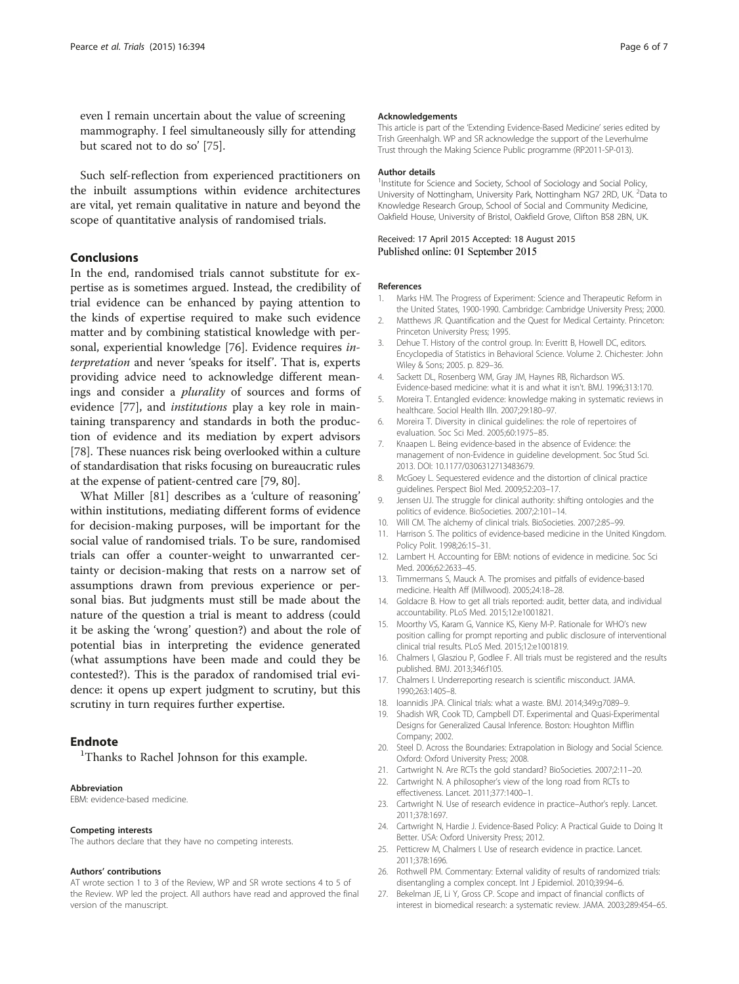<span id="page-5-0"></span>even I remain uncertain about the value of screening mammography. I feel simultaneously silly for attending but scared not to do so' [[75](#page-6-0)].

Such self-reflection from experienced practitioners on the inbuilt assumptions within evidence architectures are vital, yet remain qualitative in nature and beyond the scope of quantitative analysis of randomised trials.

# Conclusions

In the end, randomised trials cannot substitute for expertise as is sometimes argued. Instead, the credibility of trial evidence can be enhanced by paying attention to the kinds of expertise required to make such evidence matter and by combining statistical knowledge with personal, experiential knowledge [[76](#page-6-0)]. Evidence requires interpretation and never 'speaks for itself'. That is, experts providing advice need to acknowledge different meanings and consider a plurality of sources and forms of evidence [\[77](#page-6-0)], and institutions play a key role in maintaining transparency and standards in both the production of evidence and its mediation by expert advisors [[78\]](#page-6-0). These nuances risk being overlooked within a culture of standardisation that risks focusing on bureaucratic rules at the expense of patient-centred care [[79](#page-6-0), [80\]](#page-6-0).

What Miller [[81](#page-6-0)] describes as a 'culture of reasoning' within institutions, mediating different forms of evidence for decision-making purposes, will be important for the social value of randomised trials. To be sure, randomised trials can offer a counter-weight to unwarranted certainty or decision-making that rests on a narrow set of assumptions drawn from previous experience or personal bias. But judgments must still be made about the nature of the question a trial is meant to address (could it be asking the 'wrong' question?) and about the role of potential bias in interpreting the evidence generated (what assumptions have been made and could they be contested?). This is the paradox of randomised trial evidence: it opens up expert judgment to scrutiny, but this scrutiny in turn requires further expertise.

# **Endnote**

Thanks to Rachel Johnson for this example.

#### Abbreviation

EBM: evidence-based medicine.

### Competing interests

The authors declare that they have no competing interests.

## Authors' contributions

AT wrote section 1 to 3 of the Review, WP and SR wrote sections 4 to 5 of the Review. WP led the project. All authors have read and approved the final version of the manuscript.

#### Acknowledgements

This article is part of the 'Extending Evidence-Based Medicine' series edited by Trish Greenhalgh. WP and SR acknowledge the support of the Leverhulme Trust through the Making Science Public programme (RP2011-SP-013).

#### Author details

<sup>1</sup>Institute for Science and Society, School of Sociology and Social Policy University of Nottingham, University Park, Nottingham NG7 2RD, UK. <sup>2</sup>Data to Knowledge Research Group, School of Social and Community Medicine, Oakfield House, University of Bristol, Oakfield Grove, Clifton BS8 2BN, UK.

# Received: 17 April 2015 Accepted: 18 August 2015 Published online: 01 September 2015

#### References

- 1. Marks HM. The Progress of Experiment: Science and Therapeutic Reform in the United States, 1900-1990. Cambridge: Cambridge University Press; 2000.
- 2. Matthews JR. Quantification and the Quest for Medical Certainty. Princeton: Princeton University Press; 1995.
- 3. Dehue T. History of the control group. In: Everitt B, Howell DC, editors. Encyclopedia of Statistics in Behavioral Science. Volume 2. Chichester: John Wiley & Sons; 2005. p. 829–36.
- 4. Sackett DL, Rosenberg WM, Gray JM, Haynes RB, Richardson WS. Evidence-based medicine: what it is and what it isn't. BMJ. 1996;313:170.
- 5. Moreira T. Entangled evidence: knowledge making in systematic reviews in healthcare. Sociol Health Illn. 2007;29:180–97.
- 6. Moreira T. Diversity in clinical guidelines: the role of repertoires of evaluation. Soc Sci Med. 2005;60:1975–85.
- 7. Knaapen L. Being evidence-based in the absence of Evidence: the management of non-Evidence in guideline development. Soc Stud Sci. 2013. DOI: [10.1177/0306312713483679.](http://dx.doi.org/10.1177/0306312713483679)
- 8. McGoey L. Sequestered evidence and the distortion of clinical practice guidelines. Perspect Biol Med. 2009;52:203–17.
- 9. Jensen UJ. The struggle for clinical authority: shifting ontologies and the politics of evidence. BioSocieties. 2007;2:101–14.
- 10. Will CM. The alchemy of clinical trials. BioSocieties. 2007;2:85–99.
- 11. Harrison S. The politics of evidence-based medicine in the United Kingdom. Policy Polit. 1998;26:15–31.
- 12. Lambert H. Accounting for EBM: notions of evidence in medicine. Soc Sci Med. 2006;62:2633–45.
- 13. Timmermans S, Mauck A. The promises and pitfalls of evidence-based medicine. Health Aff (Millwood). 2005;24:18–28.
- 14. Goldacre B. How to get all trials reported: audit, better data, and individual accountability. PLoS Med. 2015;12:e1001821.
- 15. Moorthy VS, Karam G, Vannice KS, Kieny M-P. Rationale for WHO's new position calling for prompt reporting and public disclosure of interventional clinical trial results. PLoS Med. 2015;12:e1001819.
- 16. Chalmers I, Glasziou P, Godlee F. All trials must be registered and the results published. BMJ. 2013;346:f105.
- 17. Chalmers I. Underreporting research is scientific misconduct. JAMA. 1990;263:1405–8.
- 18. Ioannidis JPA. Clinical trials: what a waste. BMJ. 2014;349:g7089–9.
- 19. Shadish WR, Cook TD, Campbell DT. Experimental and Quasi-Experimental Designs for Generalized Causal Inference. Boston: Houghton Mifflin Company; 2002.
- 20. Steel D. Across the Boundaries: Extrapolation in Biology and Social Science. Oxford: Oxford University Press; 2008.
- 21. Cartwright N. Are RCTs the gold standard? BioSocieties. 2007;2:11–20.
- 22. Cartwright N. A philosopher's view of the long road from RCTs to effectiveness. Lancet. 2011;377:1400–1.
- 23. Cartwright N. Use of research evidence in practice–Author's reply. Lancet. 2011;378:1697.
- 24. Cartwright N, Hardie J. Evidence-Based Policy: A Practical Guide to Doing It Better. USA: Oxford University Press; 2012.
- 25. Petticrew M, Chalmers I. Use of research evidence in practice. Lancet. 2011;378:1696.
- 26. Rothwell PM. Commentary: External validity of results of randomized trials: disentangling a complex concept. Int J Epidemiol. 2010;39:94–6.
- 27. Bekelman JE, Li Y, Gross CP. Scope and impact of financial conflicts of interest in biomedical research: a systematic review. JAMA. 2003;289:454–65.